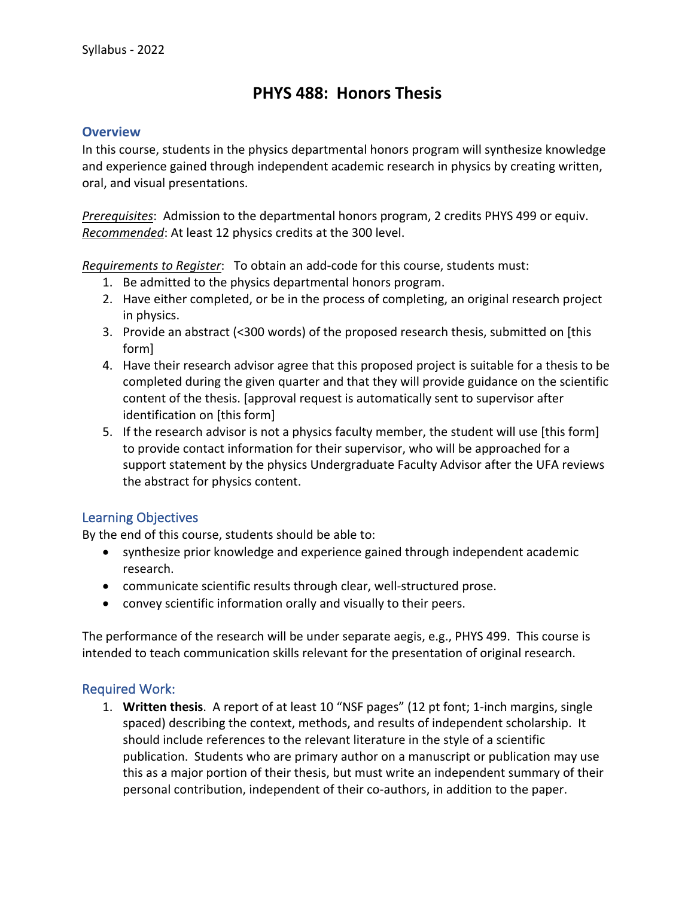# **PHYS 488: Honors Thesis**

#### **Overview**

In this course, students in the physics departmental honors program will synthesize knowledge and experience gained through independent academic research in physics by creating written, oral, and visual presentations.

*Prerequisites*: Admission to the departmental honors program, 2 credits PHYS 499 or equiv. *Recommended*: At least 12 physics credits at the 300 level.

*Requirements to Register*: To obtain an add-code for this course, students must:

- 1. Be admitted to the physics departmental honors program.
- 2. Have either completed, or be in the process of completing, an original research project in physics.
- 3. Provide an abstract (<300 words) of the proposed research thesis, submitted on [this form]
- 4. Have their research advisor agree that this proposed project is suitable for a thesis to be completed during the given quarter and that they will provide guidance on the scientific content of the thesis. [approval request is automatically sent to supervisor after identification on [this form]
- 5. If the research advisor is not a physics faculty member, the student will use [this form] to provide contact information for their supervisor, who will be approached for a support statement by the physics Undergraduate Faculty Advisor after the UFA reviews the abstract for physics content.

### Learning Objectives

By the end of this course, students should be able to:

- synthesize prior knowledge and experience gained through independent academic research.
- communicate scientific results through clear, well-structured prose.
- convey scientific information orally and visually to their peers.

The performance of the research will be under separate aegis, e.g., PHYS 499. This course is intended to teach communication skills relevant for the presentation of original research.

### Required Work:

1. **Written thesis**. A report of at least 10 "NSF pages" (12 pt font; 1-inch margins, single spaced) describing the context, methods, and results of independent scholarship. It should include references to the relevant literature in the style of a scientific publication. Students who are primary author on a manuscript or publication may use this as a major portion of their thesis, but must write an independent summary of their personal contribution, independent of their co-authors, in addition to the paper.